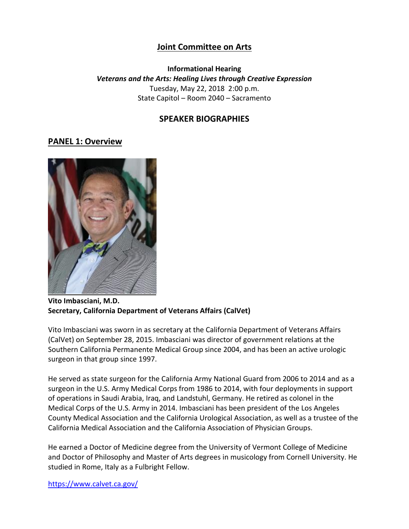# **Joint Committee on Arts**

**Informational Hearing** *Veterans and the Arts: Healing Lives through Creative Expression* Tuesday, May 22, 2018 2:00 p.m. State Capitol – Room 2040 – Sacramento

## **SPEAKER BIOGRAPHIES**

#### **PANEL 1: Overview**



**Vito Imbasciani, M.D. Secretary, California Department of Veterans Affairs (CalVet)**

Vito Imbasciani was sworn in as secretary at the California Department of Veterans Affairs (CalVet) on September 28, 2015. Imbasciani was director of government relations at the Southern California Permanente Medical Group since 2004, and has been an active urologic surgeon in that group since 1997.

He served as state surgeon for the California Army National Guard from 2006 to 2014 and as a surgeon in the U.S. Army Medical Corps from 1986 to 2014, with four deployments in support of operations in Saudi Arabia, Iraq, and Landstuhl, Germany. He retired as colonel in the Medical Corps of the U.S. Army in 2014. Imbasciani has been president of the Los Angeles County Medical Association and the California Urological Association, as well as a trustee of the California Medical Association and the California Association of Physician Groups.

He earned a Doctor of Medicine degree from the University of Vermont College of Medicine and Doctor of Philosophy and Master of Arts degrees in musicology from Cornell University. He studied in Rome, Italy as a Fulbright Fellow.

<https://www.calvet.ca.gov/>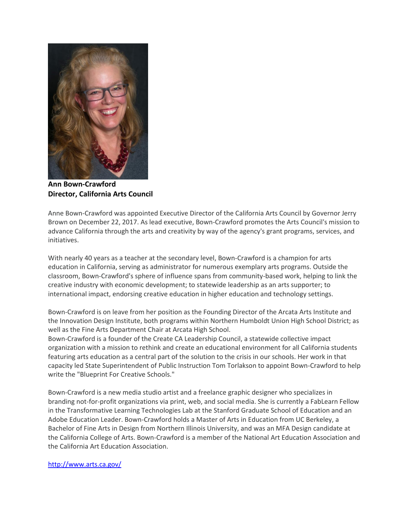

**Ann Bown-Crawford Director, California Arts Council**

Anne Bown-Crawford was appointed Executive Director of the California Arts Council by Governor Jerry Brown on December 22, 2017. As lead executive, Bown-Crawford promotes the Arts Council's mission to advance California through the arts and creativity by way of the agency's grant programs, services, and initiatives.

With nearly 40 years as a teacher at the secondary level, Bown-Crawford is a champion for arts education in California, serving as administrator for numerous exemplary arts programs. Outside the classroom, Bown-Crawford's sphere of influence spans from community-based work, helping to link the creative industry with economic development; to statewide leadership as an arts supporter; to international impact, endorsing creative education in higher education and technology settings.

Bown-Crawford is on leave from her position as the Founding Director of the Arcata Arts Institute and the Innovation Design Institute, both programs within Northern Humboldt Union High School District; as well as the Fine Arts Department Chair at Arcata High School.

Bown-Crawford is a founder of the Create CA Leadership Council, a statewide collective impact organization with a mission to rethink and create an educational environment for all California students featuring arts education as a central part of the solution to the crisis in our schools. Her work in that capacity led State Superintendent of Public Instruction Tom Torlakson to appoint Bown-Crawford to help write the "Blueprint For Creative Schools."

Bown-Crawford is a new media studio artist and a freelance graphic designer who specializes in branding not-for-profit organizations via print, web, and social media. She is currently a FabLearn Fellow in the Transformative Learning Technologies Lab at the Stanford Graduate School of Education and an Adobe Education Leader. Bown-Crawford holds a Master of Arts in Education from UC Berkeley, a Bachelor of Fine Arts in Design from Northern Illinois University, and was an MFA Design candidate at the California College of Arts. Bown-Crawford is a member of the National Art Education Association and the California Art Education Association.

#### <http://www.arts.ca.gov/>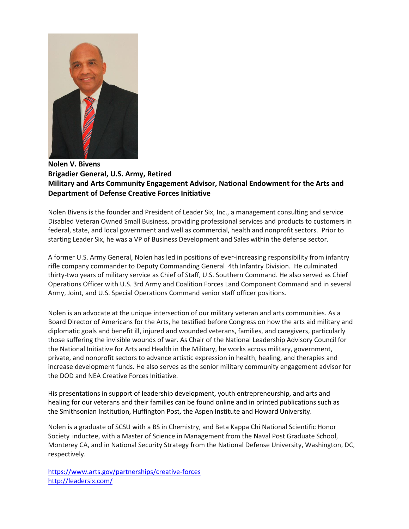

#### **Nolen V. Bivens Brigadier General, U.S. Army, Retired Military and Arts Community Engagement Advisor, National Endowment for the Arts and Department of Defense Creative Forces Initiative**

Nolen Bivens is the founder and President of Leader Six, Inc., a management consulting and service Disabled Veteran Owned Small Business, providing professional services and products to customers in federal, state, and local government and well as commercial, health and nonprofit sectors. Prior to starting Leader Six, he was a VP of Business Development and Sales within the defense sector.

A former U.S. Army General, Nolen has led in positions of ever-increasing responsibility from infantry rifle company commander to Deputy Commanding General 4th Infantry Division. He culminated thirty-two years of military service as Chief of Staff, U.S. Southern Command. He also served as Chief Operations Officer with U.S. 3rd Army and Coalition Forces Land Component Command and in several Army, Joint, and U.S. Special Operations Command senior staff officer positions.

Nolen is an advocate at the unique intersection of our military veteran and arts communities. As a Board Director of Americans for the Arts, he testified before Congress on how the arts aid military and diplomatic goals and benefit ill, injured and wounded veterans, families, and caregivers, particularly those suffering the invisible wounds of war. As Chair of the National Leadership Advisory Council for the National Initiative for Arts and Health in the Military, he works across military, government, private, and nonprofit sectors to advance artistic expression in health, healing, and therapies and increase development funds. He also serves as the senior military community engagement advisor for the DOD and NEA Creative Forces Initiative.

His presentations in support of leadership development, youth entrepreneurship, and arts and healing for our veterans and their families can be found online and in printed publications such as the Smithsonian Institution, Huffington Post, the Aspen Institute and Howard University.

Nolen is a graduate of SCSU with a BS in Chemistry, and Beta Kappa Chi National Scientific Honor Society inductee, with a Master of Science in Management from the Naval Post Graduate School, Monterey CA, and in National Security Strategy from the National Defense University, Washington, DC, respectively.

<https://www.arts.gov/partnerships/creative-forces> <http://leadersix.com/>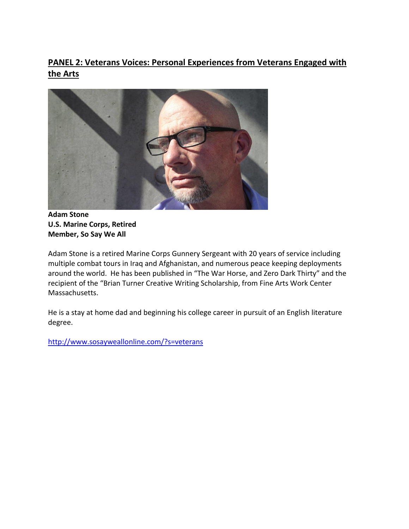# **PANEL 2: Veterans Voices: Personal Experiences from Veterans Engaged with the Arts**



**Adam Stone U.S. Marine Corps, Retired Member, So Say We All**

Adam Stone is a retired Marine Corps Gunnery Sergeant with 20 years of service including multiple combat tours in Iraq and Afghanistan, and numerous peace keeping deployments around the world. He has been published in "The War Horse, and Zero Dark Thirty" and the recipient of the "Brian Turner Creative Writing Scholarship, from Fine Arts Work Center Massachusetts.

He is a stay at home dad and beginning his college career in pursuit of an English literature degree.

<http://www.sosayweallonline.com/?s=veterans>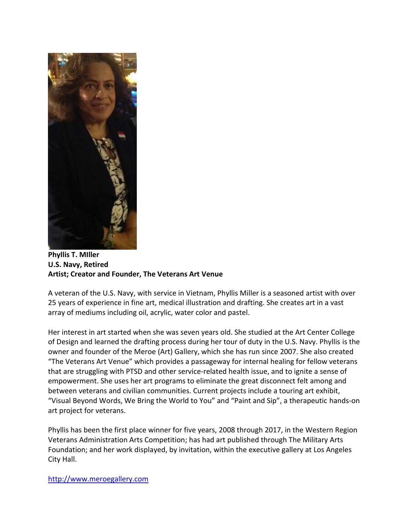

**Phyllis T. MIller U.S. Navy, Retired Artist; Creator and Founder, The Veterans Art Venue**

A veteran of the U.S. Navy, with service in Vietnam, Phyllis Miller is a seasoned artist with over 25 years of experience in fine art, medical illustration and drafting. She creates art in a vast array of mediums including oil, acrylic, water color and pastel.

Her interest in art started when she was seven years old. She studied at the Art Center College of Design and learned the drafting process during her tour of duty in the U.S. Navy. Phyllis is the owner and founder of the Meroe (Art) Gallery, which she has run since 2007. She also created "The Veterans Art Venue" which provides a passageway for internal healing for fellow veterans that are struggling with PTSD and other service-related health issue, and to ignite a sense of empowerment. She uses her art programs to eliminate the great disconnect felt among and between veterans and civilian communities. Current projects include a touring art exhibit, "Visual Beyond Words, We Bring the World to You" and "Paint and Sip", a therapeutic hands-on art project for veterans.

Phyllis has been the first place winner for five years, 2008 through 2017, in the Western Region Veterans Administration Arts Competition; has had art published through The Military Arts Foundation; and her work displayed, by invitation, within the executive gallery at Los Angeles City Hall.

[http://www.meroegallery.com](http://www.meroegallery.com/)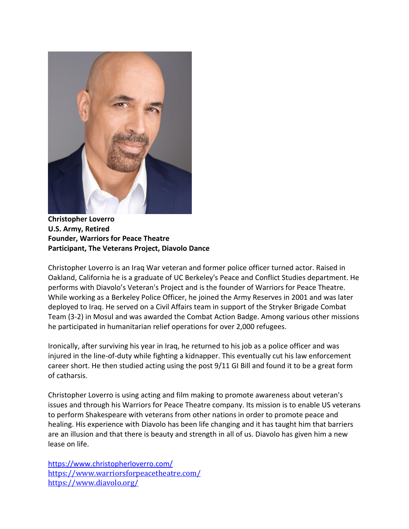

**Christopher Loverro U.S. Army, Retired Founder, Warriors for Peace Theatre Participant, The Veterans Project, Diavolo Dance**

Christopher Loverro is an Iraq War veteran and former police officer turned actor. Raised in Oakland, California he is a graduate of UC Berkeley's Peace and Conflict Studies department. He performs with Diavolo's Veteran's Project and is the founder of Warriors for Peace Theatre. While working as a Berkeley Police Officer, he joined the Army Reserves in 2001 and was later deployed to Iraq. He served on a Civil Affairs team in support of the Stryker Brigade Combat Team (3-2) in Mosul and was awarded the Combat Action Badge. Among various other missions he participated in humanitarian relief operations for over 2,000 refugees.

Ironically, after surviving his year in Iraq, he returned to his job as a police officer and was injured in the line-of-duty while fighting a kidnapper. This eventually cut his law enforcement career short. He then studied acting using the post 9/11 GI Bill and found it to be a great form of catharsis.

Christopher Loverro is using acting and film making to promote awareness about veteran's issues and through his Warriors for Peace Theatre company. Its mission is to enable US veterans to perform Shakespeare with veterans from other nations in order to promote peace and healing. His experience with Diavolo has been life changing and it has taught him that barriers are an illusion and that there is beauty and strength in all of us. Diavolo has given him a new lease on life.

https://www.christopherloverro.com/ https://www.warriorsforpeacetheatre.com/ https://www.diavolo.org/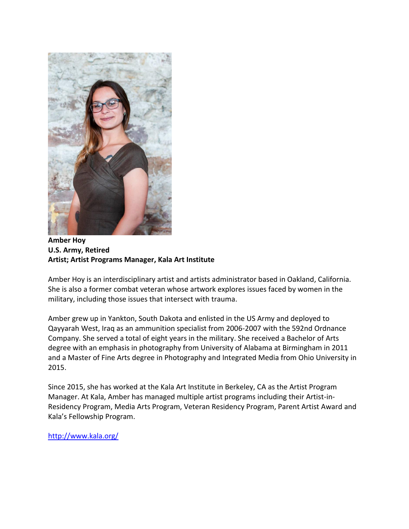

**Amber Hoy U.S. Army, Retired Artist; Artist Programs Manager, Kala Art Institute**

Amber Hoy is an interdisciplinary artist and artists administrator based in Oakland, California. She is also a former combat veteran whose artwork explores issues faced by women in the military, including those issues that intersect with trauma.

Amber grew up in Yankton, South Dakota and enlisted in the US Army and deployed to Qayyarah West, Iraq as an ammunition specialist from 2006-2007 with the 592nd Ordnance Company. She served a total of eight years in the military. She received a Bachelor of Arts degree with an emphasis in photography from University of Alabama at Birmingham in 2011 and a Master of Fine Arts degree in Photography and Integrated Media from Ohio University in 2015.

Since 2015, she has worked at the Kala Art Institute in Berkeley, CA as the Artist Program Manager. At Kala, Amber has managed multiple artist programs including their Artist-in-Residency Program, Media Arts Program, Veteran Residency Program, Parent Artist Award and Kala's Fellowship Program.

<http://www.kala.org/>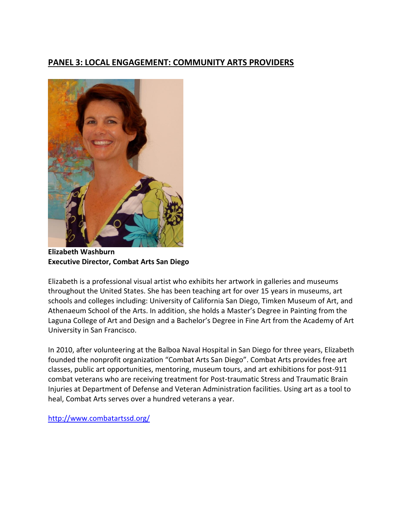## **PANEL 3: LOCAL ENGAGEMENT: COMMUNITY ARTS PROVIDERS**



**Elizabeth Washburn Executive Director, Combat Arts San Diego**

Elizabeth is a professional visual artist who exhibits her artwork in galleries and museums throughout the United States. She has been teaching art for over 15 years in museums, art schools and colleges including: University of California San Diego, Timken Museum of Art, and Athenaeum School of the Arts. In addition, she holds a Master's Degree in Painting from the Laguna College of Art and Design and a Bachelor's Degree in Fine Art from the Academy of Art University in San Francisco.

In 2010, after volunteering at the Balboa Naval Hospital in San Diego for three years, Elizabeth founded the nonprofit organization "Combat Arts San Diego". Combat Arts provides free art classes, public art opportunities, mentoring, museum tours, and art exhibitions for post-911 combat veterans who are receiving treatment for Post-traumatic Stress and Traumatic Brain Injuries at Department of Defense and Veteran Administration facilities. Using art as a tool to heal, Combat Arts serves over a hundred veterans a year.

<http://www.combatartssd.org/>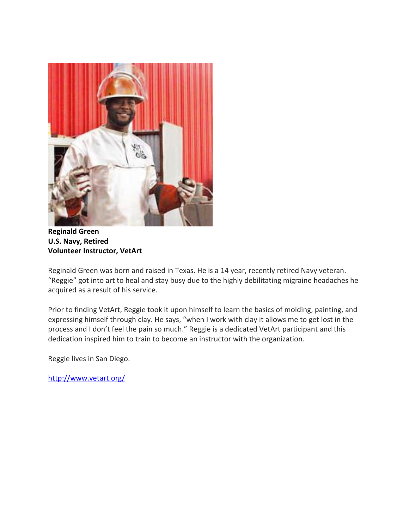

**Reginald Green U.S. Navy, Retired Volunteer Instructor, VetArt**

Reginald Green was born and raised in Texas. He is a 14 year, recently retired Navy veteran. "Reggie" got into art to heal and stay busy due to the highly debilitating migraine headaches he acquired as a result of his service.

Prior to finding VetArt, Reggie took it upon himself to learn the basics of molding, painting, and expressing himself through clay. He says, "when I work with clay it allows me to get lost in the process and I don't feel the pain so much." Reggie is a dedicated VetArt participant and this dedication inspired him to train to become an instructor with the organization.

Reggie lives in San Diego.

<http://www.vetart.org/>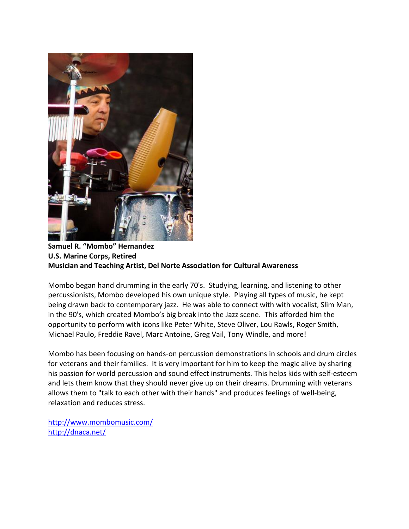

### **Samuel R. "Mombo" Hernandez U.S. Marine Corps, Retired Musician and Teaching Artist, Del Norte Association for Cultural Awareness**

Mombo began hand drumming in the early 70's. Studying, learning, and listening to other percussionists, Mombo developed his own unique style. Playing all types of music, he kept being drawn back to contemporary jazz. He was able to connect with with vocalist, Slim Man, in the 90's, which created Mombo's big break into the Jazz scene. This afforded him the opportunity to perform with icons like Peter White, Steve Oliver, Lou Rawls, Roger Smith, Michael Paulo, Freddie Ravel, Marc Antoine, Greg Vail, Tony Windle, and more!

Mombo has been focusing on hands-on percussion demonstrations in schools and drum circles for veterans and their families. It is very important for him to keep the magic alive by sharing his passion for world percussion and sound effect instruments. This helps kids with self-esteem and lets them know that they should never give up on their dreams. Drumming with veterans allows them to "talk to each other with their hands" and produces feelings of well-being, relaxation and reduces stress.

<http://www.mombomusic.com/> <http://dnaca.net/>